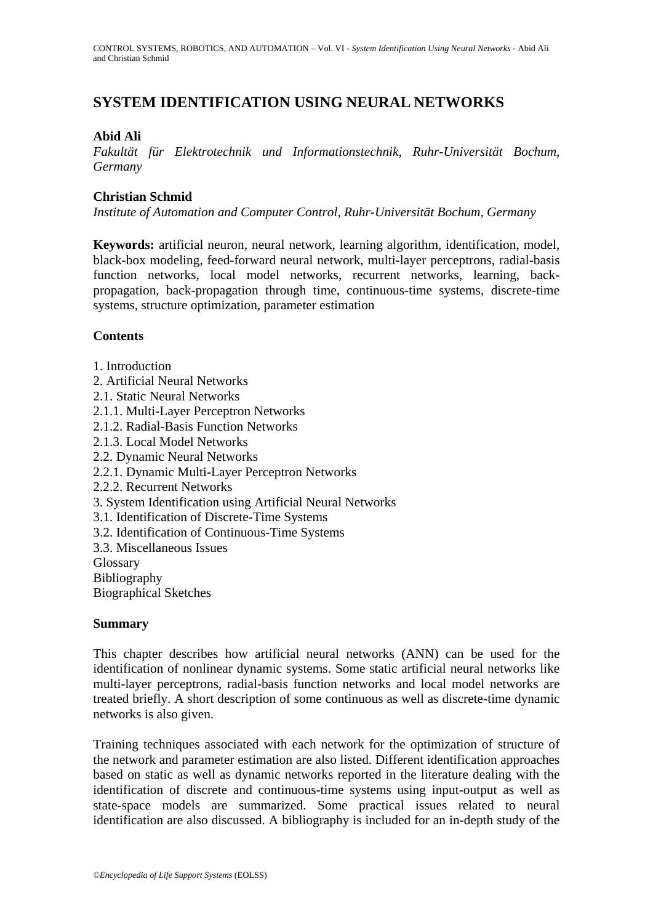## **SYSTEM IDENTIFICATION USING NEURAL NETWORKS**

### **Abid Ali**

*Fakultät für Elektrotechnik und Informationstechnik, Ruhr-Universität Bochum, Germany* 

#### **Christian Schmid**

*Institute of Automation and Computer Control, Ruhr-Universität Bochum, Germany* 

**Keywords:** artificial neuron, neural network, learning algorithm, identification, model, black-box modeling, feed-forward neural network, multi-layer perceptrons, radial-basis function networks, local model networks, recurrent networks, learning, backpropagation, back-propagation through time, continuous-time systems, discrete-time systems, structure optimization, parameter estimation

### **Contents**

- 1. Introduction
- 2. Artificial Neural Networks
- 2.1. Static Neural Networks
- 2.1.1. Multi-Layer Perceptron Networks
- 2.1.2. Radial-Basis Function Networks
- 2.1.3. Local Model Networks
- 2.2. Dynamic Neural Networks
- 2.2.1. Dynamic Multi-Layer Perceptron Networks
- 2.2.2. Recurrent Networks
- 3. System Identification using Artificial Neural Networks
- 3.1. Identification of Discrete-Time Systems
- 3.2. Identification of Continuous-Time Systems
- 3.3. Miscellaneous Issues
- Glossary
- Bibliography

Biographical Sketches

#### **Summary**

This chapter describes how artificial neural networks (ANN) can be used for the identification of nonlinear dynamic systems. Some static artificial neural networks like multi-layer perceptrons, radial-basis function networks and local model networks are treated briefly. A short description of some continuous as well as discrete-time dynamic networks is also given.

Training techniques associated with each network for the optimization of structure of the network and parameter estimation are also listed. Different identification approaches based on static as well as dynamic networks reported in the literature dealing with the identification of discrete and continuous-time systems using input-output as well as state-space models are summarized. Some practical issues related to neural identification are also discussed. A bibliography is included for an in-depth study of the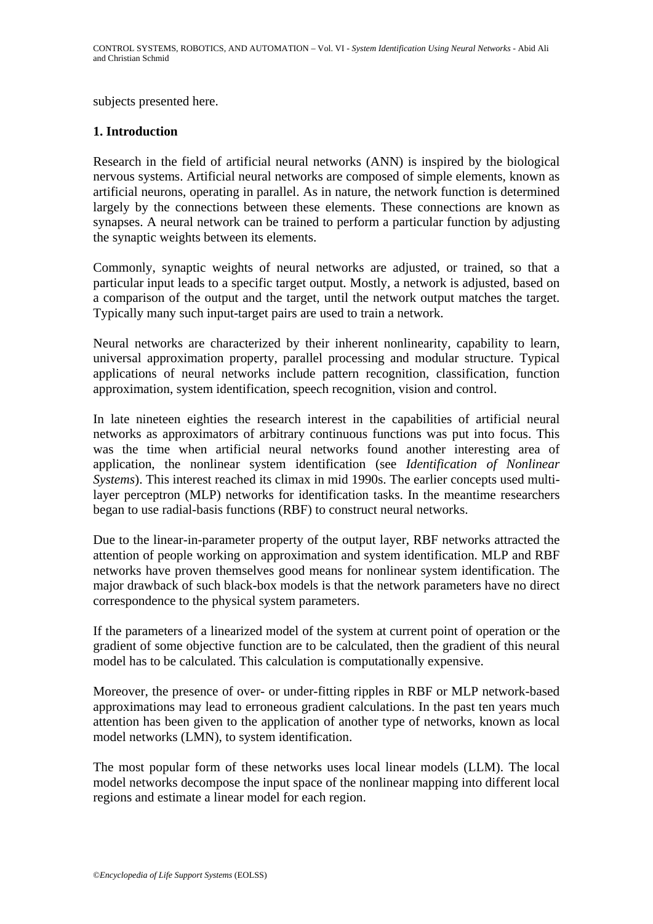subjects presented here.

#### **1. Introduction**

Research in the field of artificial neural networks (ANN) is inspired by the biological nervous systems. Artificial neural networks are composed of simple elements, known as artificial neurons, operating in parallel. As in nature, the network function is determined largely by the connections between these elements. These connections are known as synapses. A neural network can be trained to perform a particular function by adjusting the synaptic weights between its elements.

Commonly, synaptic weights of neural networks are adjusted, or trained, so that a particular input leads to a specific target output. Mostly, a network is adjusted, based on a comparison of the output and the target, until the network output matches the target. Typically many such input-target pairs are used to train a network.

Neural networks are characterized by their inherent nonlinearity, capability to learn, universal approximation property, parallel processing and modular structure. Typical applications of neural networks include pattern recognition, classification, function approximation, system identification, speech recognition, vision and control.

In late nineteen eighties the research interest in the capabilities of artificial neural networks as approximators of arbitrary continuous functions was put into focus. This was the time when artificial neural networks found another interesting area of application, the nonlinear system identification (see *Identification of Nonlinear Systems*). This interest reached its climax in mid 1990s. The earlier concepts used multilayer perceptron (MLP) networks for identification tasks. In the meantime researchers began to use radial-basis functions (RBF) to construct neural networks.

Due to the linear-in-parameter property of the output layer, RBF networks attracted the attention of people working on approximation and system identification. MLP and RBF networks have proven themselves good means for nonlinear system identification. The major drawback of such black-box models is that the network parameters have no direct correspondence to the physical system parameters.

If the parameters of a linearized model of the system at current point of operation or the gradient of some objective function are to be calculated, then the gradient of this neural model has to be calculated. This calculation is computationally expensive.

Moreover, the presence of over- or under-fitting ripples in RBF or MLP network-based approximations may lead to erroneous gradient calculations. In the past ten years much attention has been given to the application of another type of networks, known as local model networks (LMN), to system identification.

The most popular form of these networks uses local linear models (LLM). The local model networks decompose the input space of the nonlinear mapping into different local regions and estimate a linear model for each region.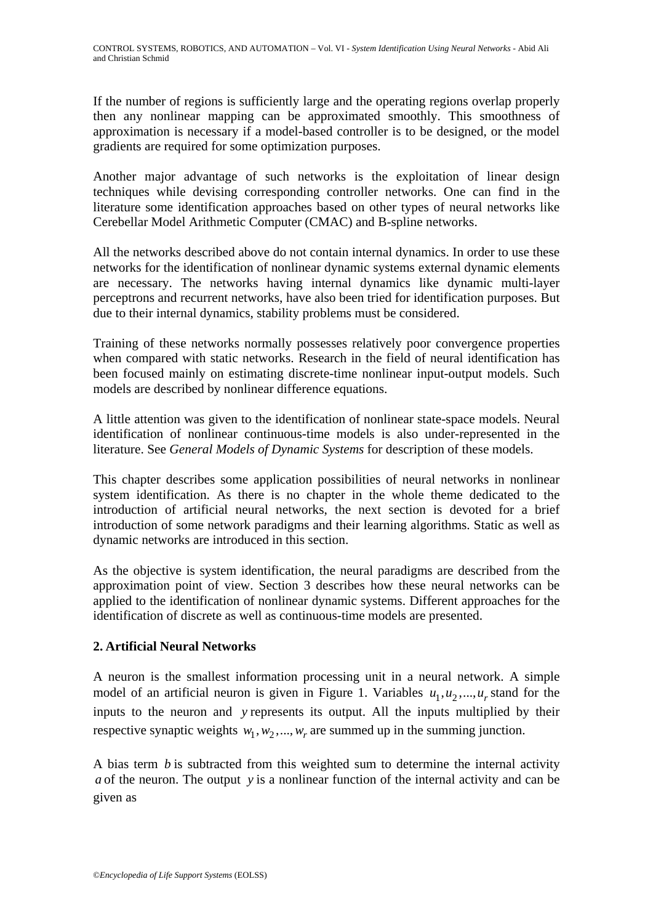If the number of regions is sufficiently large and the operating regions overlap properly then any nonlinear mapping can be approximated smoothly. This smoothness of approximation is necessary if a model-based controller is to be designed, or the model gradients are required for some optimization purposes.

Another major advantage of such networks is the exploitation of linear design techniques while devising corresponding controller networks. One can find in the literature some identification approaches based on other types of neural networks like Cerebellar Model Arithmetic Computer (CMAC) and B-spline networks.

All the networks described above do not contain internal dynamics. In order to use these networks for the identification of nonlinear dynamic systems external dynamic elements are necessary. The networks having internal dynamics like dynamic multi-layer perceptrons and recurrent networks, have also been tried for identification purposes. But due to their internal dynamics, stability problems must be considered.

Training of these networks normally possesses relatively poor convergence properties when compared with static networks. Research in the field of neural identification has been focused mainly on estimating discrete-time nonlinear input-output models. Such models are described by nonlinear difference equations.

A little attention was given to the identification of nonlinear state-space models. Neural identification of nonlinear continuous-time models is also under-represented in the literature. See *General Models of Dynamic Systems* for description of these models.

This chapter describes some application possibilities of neural networks in nonlinear system identification. As there is no chapter in the whole theme dedicated to the introduction of artificial neural networks, the next section is devoted for a brief introduction of some network paradigms and their learning algorithms. Static as well as dynamic networks are introduced in this section.

As the objective is system identification, the neural paradigms are described from the approximation point of view. Section 3 describes how these neural networks can be applied to the identification of nonlinear dynamic systems. Different approaches for the identification of discrete as well as continuous-time models are presented.

### **2. Artificial Neural Networks**

A neuron is the smallest information processing unit in a neural network. A simple model of an artificial neuron is given in Figure 1. Variables  $u_1, u_2, ..., u_r$  stand for the inputs to the neuron and *y* represents its output. All the inputs multiplied by their respective synaptic weights  $w_1, w_2, ..., w_r$  are summed up in the summing junction.

A bias term *b* is subtracted from this weighted sum to determine the internal activity *a* of the neuron. The output *y* is a nonlinear function of the internal activity and can be given as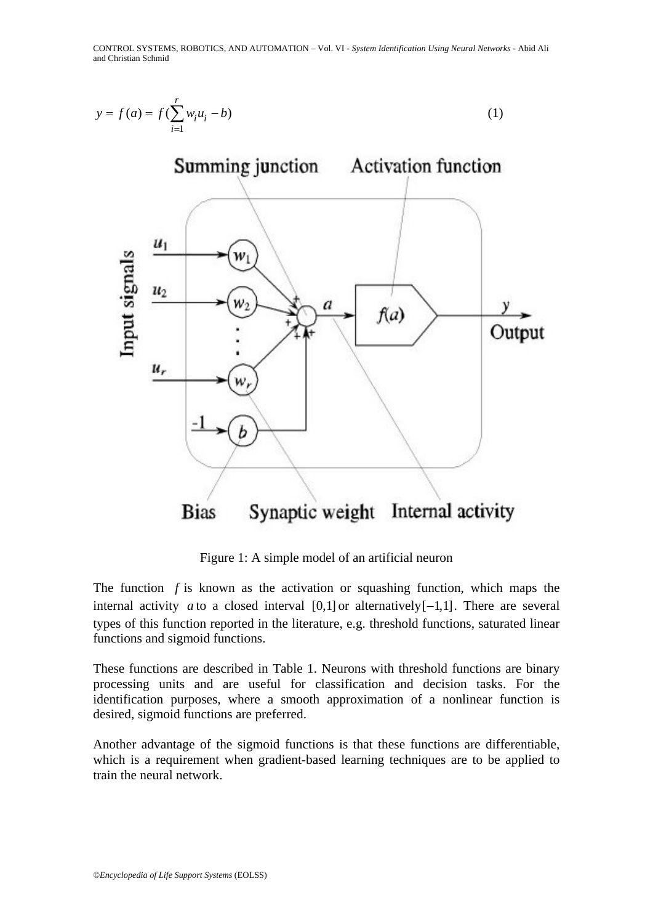



Figure 1: A simple model of an artificial neuron

The function *f* is known as the activation or squashing function, which maps the internal activity *a* to a closed interval  $[0,1]$  or alternatively $[-1,1]$ . There are several types of this function reported in the literature, e.g. threshold functions, saturated linear functions and sigmoid functions.

These functions are described in Table 1. Neurons with threshold functions are binary processing units and are useful for classification and decision tasks. For the identification purposes, where a smooth approximation of a nonlinear function is desired, sigmoid functions are preferred.

Another advantage of the sigmoid functions is that these functions are differentiable, which is a requirement when gradient-based learning techniques are to be applied to train the neural network.

 $u_r$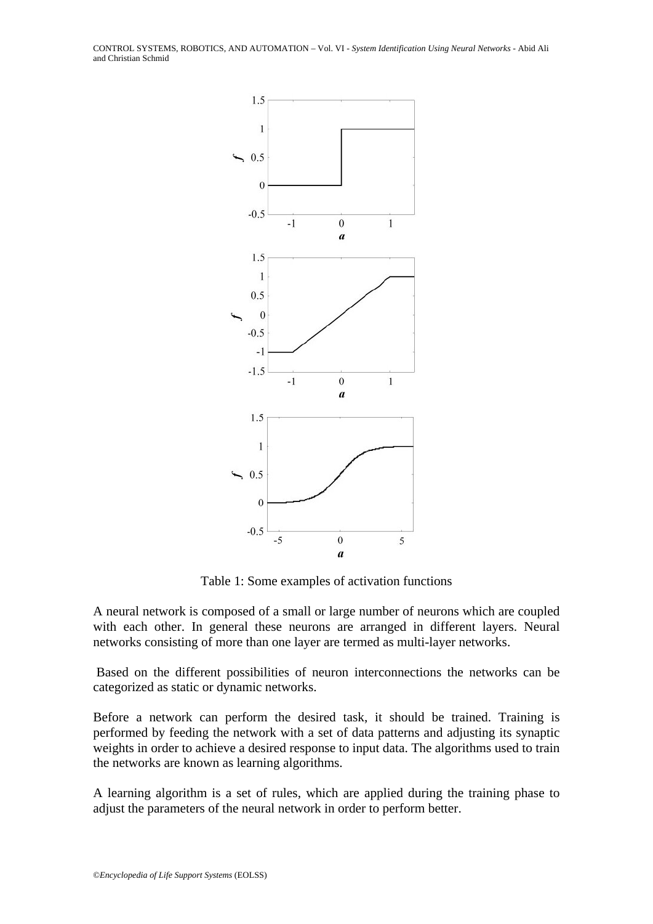CONTROL SYSTEMS, ROBOTICS, AND AUTOMATION – Vol. VI - *System Identification Using Neural Networks* - Abid Ali and Christian Schmid



Table 1: Some examples of activation functions

A neural network is composed of a small or large number of neurons which are coupled with each other. In general these neurons are arranged in different layers. Neural networks consisting of more than one layer are termed as multi-layer networks.

 Based on the different possibilities of neuron interconnections the networks can be categorized as static or dynamic networks.

Before a network can perform the desired task, it should be trained. Training is performed by feeding the network with a set of data patterns and adjusting its synaptic weights in order to achieve a desired response to input data. The algorithms used to train the networks are known as learning algorithms.

A learning algorithm is a set of rules, which are applied during the training phase to adjust the parameters of the neural network in order to perform better.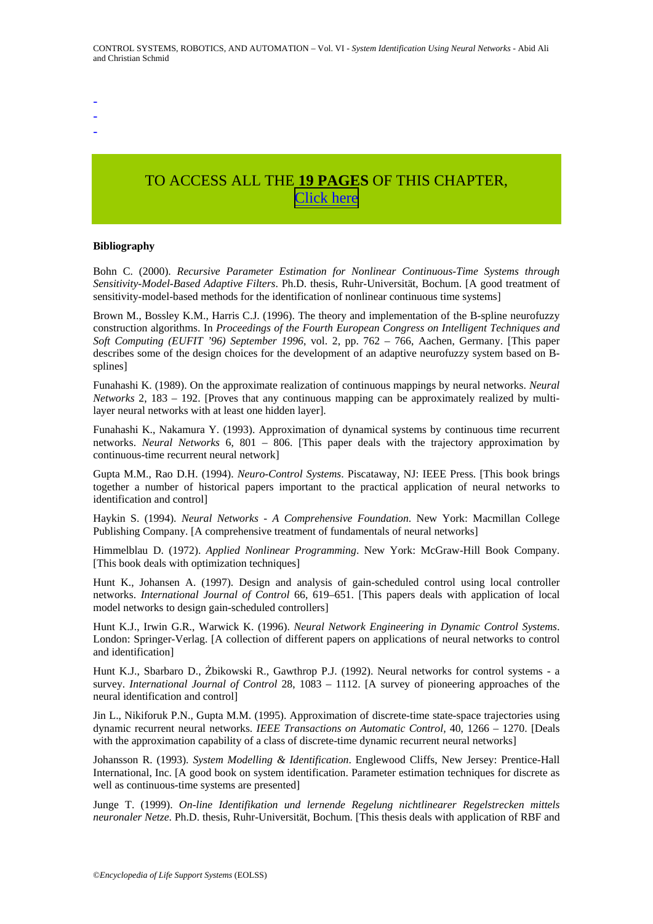-

- -

# TO ACCESS ALL THE **19 PAGES** OF THIS CHAPTER, [C](https://www.eolss.net/ebooklib/sc_cart.aspx?File=E6-43-10-04)[lick here](http://www.eolss.net/Eolss-sampleAllChapter.aspx)

#### **Bibliography**

Bohn C. (2000). *Recursive Parameter Estimation for Nonlinear Continuous-Time Systems through Sensitivity-Model-Based Adaptive Filters*. Ph.D. thesis, Ruhr-Universität, Bochum. [A good treatment of sensitivity-model-based methods for the identification of nonlinear continuous time systems]

Brown M., Bossley K.M., Harris C.J. (1996). The theory and implementation of the B-spline neurofuzzy construction algorithms. In *Proceedings of the Fourth European Congress on Intelligent Techniques and Soft Computing (EUFIT '96) September 1996*, vol. 2, pp. 762 – 766, Aachen, Germany. [This paper describes some of the design choices for the development of an adaptive neurofuzzy system based on Bsplines]

Funahashi K. (1989). On the approximate realization of continuous mappings by neural networks. *Neural Networks* 2, 183 – 192. [Proves that any continuous mapping can be approximately realized by multilayer neural networks with at least one hidden layer].

Funahashi K., Nakamura Y. (1993). Approximation of dynamical systems by continuous time recurrent networks. *Neural Networks* 6, 801 – 806. [This paper deals with the trajectory approximation by continuous-time recurrent neural network]

Gupta M.M., Rao D.H. (1994). *Neuro-Control Systems*. Piscataway, NJ: IEEE Press. [This book brings together a number of historical papers important to the practical application of neural networks to identification and control]

Haykin S. (1994). *Neural Networks - A Comprehensive Foundation*. New York: Macmillan College Publishing Company. [A comprehensive treatment of fundamentals of neural networks]

Himmelblau D. (1972). *Applied Nonlinear Programming*. New York: McGraw-Hill Book Company. [This book deals with optimization techniques]

Hunt K., Johansen A. (1997). Design and analysis of gain-scheduled control using local controller networks. *International Journal of Control* 66, 619–651. [This papers deals with application of local model networks to design gain-scheduled controllers]

Hunt K.J., Irwin G.R., Warwick K. (1996). *Neural Network Engineering in Dynamic Control Systems*. London: Springer-Verlag. [A collection of different papers on applications of neural networks to control and identification]

Hunt K.J., Sbarbaro D., Żbikowski R., Gawthrop P.J. (1992). Neural networks for control systems - a survey. *International Journal of Control* 28, 1083 – 1112. [A survey of pioneering approaches of the neural identification and control]

Jin L., Nikiforuk P.N., Gupta M.M. (1995). Approximation of discrete-time state-space trajectories using dynamic recurrent neural networks. *IEEE Transactions on Automatic Control,* 40, 1266 – 1270. [Deals with the approximation capability of a class of discrete-time dynamic recurrent neural networks]

Johansson R. (1993). *System Modelling & Identification*. Englewood Cliffs, New Jersey: Prentice-Hall International, Inc. [A good book on system identification. Parameter estimation techniques for discrete as well as continuous-time systems are presented]

Junge T. (1999). *On-line Identifikation und lernende Regelung nichtlinearer Regelstrecken mittels neuronaler Netze*. Ph.D. thesis, Ruhr-Universität, Bochum. [This thesis deals with application of RBF and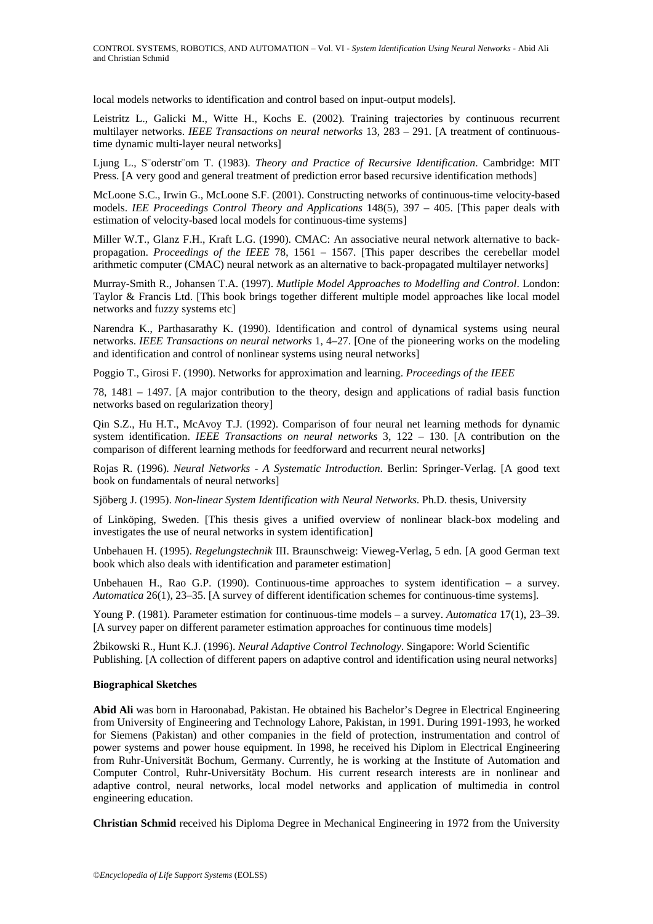local models networks to identification and control based on input-output models].

Leistritz L., Galicki M., Witte H., Kochs E. (2002). Training trajectories by continuous recurrent multilayer networks. *IEEE Transactions on neural networks* 13, 283 – 291. [A treatment of continuoustime dynamic multi-layer neural networks]

Ljung L., S¨oderstr¨om T. (1983). *Theory and Practice of Recursive Identification*. Cambridge: MIT Press. [A very good and general treatment of prediction error based recursive identification methods]

McLoone S.C., Irwin G., McLoone S.F. (2001). Constructing networks of continuous-time velocity-based models. *IEE Proceedings Control Theory and Applications* 148(5), 397 – 405. [This paper deals with estimation of velocity-based local models for continuous-time systems]

Miller W.T., Glanz F.H., Kraft L.G. (1990). CMAC: An associative neural network alternative to backpropagation. *Proceedings of the IEEE* 78, 1561 – 1567. [This paper describes the cerebellar model arithmetic computer (CMAC) neural network as an alternative to back-propagated multilayer networks]

Murray-Smith R., Johansen T.A. (1997). *Mutliple Model Approaches to Modelling and Control*. London: Taylor & Francis Ltd. [This book brings together different multiple model approaches like local model networks and fuzzy systems etc]

Narendra K., Parthasarathy K. (1990). Identification and control of dynamical systems using neural networks. *IEEE Transactions on neural networks* 1, 4–27. [One of the pioneering works on the modeling and identification and control of nonlinear systems using neural networks]

Poggio T., Girosi F. (1990). Networks for approximation and learning. *Proceedings of the IEEE* 

78, 1481 – 1497. [A major contribution to the theory, design and applications of radial basis function networks based on regularization theory]

Qin S.Z., Hu H.T., McAvoy T.J. (1992). Comparison of four neural net learning methods for dynamic system identification. *IEEE Transactions on neural networks* 3, 122 – 130. [A contribution on the comparison of different learning methods for feedforward and recurrent neural networks]

Rojas R. (1996). *Neural Networks - A Systematic Introduction*. Berlin: Springer-Verlag. [A good text book on fundamentals of neural networks]

Sjöberg J. (1995). *Non-linear System Identification with Neural Networks*. Ph.D. thesis, University

of Linköping, Sweden. [This thesis gives a unified overview of nonlinear black-box modeling and investigates the use of neural networks in system identification]

Unbehauen H. (1995). *Regelungstechnik* III. Braunschweig: Vieweg-Verlag, 5 edn. [A good German text book which also deals with identification and parameter estimation]

Unbehauen H., Rao G.P. (1990). Continuous-time approaches to system identification – a survey. *Automatica* 26(1), 23–35. [A survey of different identification schemes for continuous-time systems].

Young P. (1981). Parameter estimation for continuous-time models – a survey. *Automatica* 17(1), 23–39. [A survey paper on different parameter estimation approaches for continuous time models]

Żbikowski R., Hunt K.J. (1996). *Neural Adaptive Control Technology*. Singapore: World Scientific Publishing. [A collection of different papers on adaptive control and identification using neural networks]

#### **Biographical Sketches**

**Abid Ali** was born in Haroonabad, Pakistan. He obtained his Bachelor's Degree in Electrical Engineering from University of Engineering and Technology Lahore, Pakistan, in 1991. During 1991-1993, he worked for Siemens (Pakistan) and other companies in the field of protection, instrumentation and control of power systems and power house equipment. In 1998, he received his Diplom in Electrical Engineering from Ruhr-Universität Bochum, Germany. Currently, he is working at the Institute of Automation and Computer Control, Ruhr-Universitäty Bochum. His current research interests are in nonlinear and adaptive control, neural networks, local model networks and application of multimedia in control engineering education.

**Christian Schmid** received his Diploma Degree in Mechanical Engineering in 1972 from the University